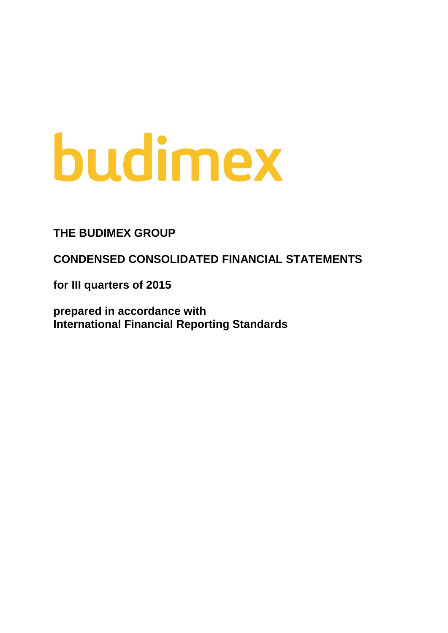# budimex

# **THE BUDIMEX GROUP**

**CONDENSED CONSOLIDATED FINANCIAL STATEMENTS**

**for III quarters of 2015**

**prepared in accordance with International Financial Reporting Standards**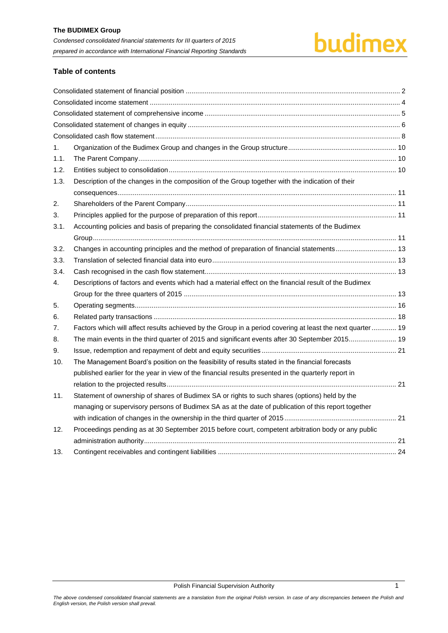# budimex

# **Table of contents**

| 1.   |                                                                                                            |  |
|------|------------------------------------------------------------------------------------------------------------|--|
| 1.1. |                                                                                                            |  |
| 1.2. |                                                                                                            |  |
| 1.3. | Description of the changes in the composition of the Group together with the indication of their           |  |
|      |                                                                                                            |  |
| 2.   |                                                                                                            |  |
| 3.   |                                                                                                            |  |
| 3.1. | Accounting policies and basis of preparing the consolidated financial statements of the Budimex            |  |
|      |                                                                                                            |  |
| 3.2. |                                                                                                            |  |
| 3.3. |                                                                                                            |  |
| 3.4. |                                                                                                            |  |
| 4.   | Descriptions of factors and events which had a material effect on the financial result of the Budimex      |  |
|      |                                                                                                            |  |
| 5.   |                                                                                                            |  |
| 6.   |                                                                                                            |  |
| 7.   | Factors which will affect results achieved by the Group in a period covering at least the next quarter  19 |  |
| 8.   | The main events in the third quarter of 2015 and significant events after 30 September 2015 19             |  |
| 9.   |                                                                                                            |  |
| 10.  | The Management Board's position on the feasibility of results stated in the financial forecasts            |  |
|      | published earlier for the year in view of the financial results presented in the quarterly report in       |  |
|      |                                                                                                            |  |
| 11.  | Statement of ownership of shares of Budimex SA or rights to such shares (options) held by the              |  |
|      | managing or supervisory persons of Budimex SA as at the date of publication of this report together        |  |
|      |                                                                                                            |  |
| 12.  | Proceedings pending as at 30 September 2015 before court, competent arbitration body or any public         |  |
|      |                                                                                                            |  |
| 13.  |                                                                                                            |  |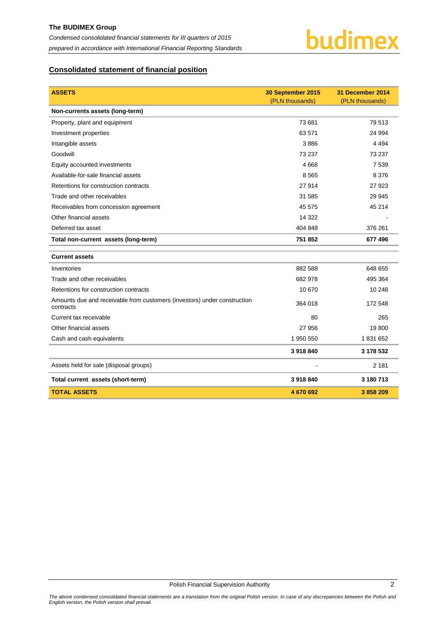

# <span id="page-2-0"></span>**Consolidated statement of financial position**

| <b>ASSETS</b>                                                                         | 30 September 2015<br>(PLN thousands) | 31 December 2014<br>(PLN thousands) |
|---------------------------------------------------------------------------------------|--------------------------------------|-------------------------------------|
| Non-currents assets (long-term)                                                       |                                      |                                     |
| Property, plant and equipment                                                         | 73 681                               | 79 513                              |
| Investment properties                                                                 | 63 571                               | 24 994                              |
| Intangible assets                                                                     | 3886                                 | 4 4 9 4                             |
| Goodwill                                                                              | 73 237                               | 73 237                              |
| Equity accounted investments                                                          | 4 6 6 8                              | 7 5 3 9                             |
| Available-for-sale financial assets                                                   | 8565                                 | 8 3 7 6                             |
| Retentions for construction contracts                                                 | 27 914                               | 27 9 23                             |
| Trade and other receivables                                                           | 31 585                               | 29 945                              |
| Receivables from concession agreement                                                 | 45 575                               | 45 214                              |
| Other financial assets                                                                | 14 3 22                              |                                     |
| Deferred tax asset                                                                    | 404 848                              | 376 261                             |
| Total non-current assets (long-term)                                                  | 751 852                              | 677 496                             |
| <b>Current assets</b>                                                                 |                                      |                                     |
| Inventories                                                                           | 882 588                              | 648 655                             |
| Trade and other receivables                                                           | 682 978                              | 495 364                             |
| Retentions for construction contracts                                                 | 10 670                               | 10 248                              |
| Amounts due and receivable from customers (investors) under construction<br>contracts | 364 018                              | 172 548                             |
| Current tax receivable                                                                | 80                                   | 265                                 |
| Other financial assets                                                                | 27 956                               | 19800                               |
| Cash and cash equivalents                                                             | 1 950 550                            | 1831652                             |
|                                                                                       | 3918840                              | 3 178 532                           |
| Assets held for sale (disposal groups)                                                |                                      | 2 1 8 1                             |
| Total current assets (short-term)                                                     | 3918840                              | 3 180 713                           |
| <b>TOTAL ASSETS</b>                                                                   | 4670692                              | 3858209                             |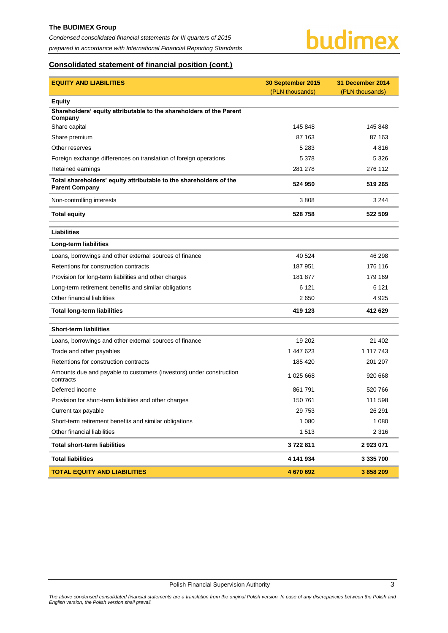#### **The BUDIMEX Group**

*Condensed consolidated financial statements for III quarters of 2015 prepared in accordance with International Financial Reporting Standards*



# **Consolidated statement of financial position (cont.)**

| <b>EQUITY AND LIABILITIES</b>                                                               | 30 September 2015 | 31 December 2014 |
|---------------------------------------------------------------------------------------------|-------------------|------------------|
|                                                                                             | (PLN thousands)   | (PLN thousands)  |
| <b>Equity</b>                                                                               |                   |                  |
| Shareholders' equity attributable to the shareholders of the Parent<br>Company              |                   |                  |
| Share capital                                                                               | 145 848           | 145 848          |
| Share premium                                                                               | 87 163            | 87 163           |
| Other reserves                                                                              | 5 2 8 3           | 4816             |
| Foreign exchange differences on translation of foreign operations                           | 5 3 7 8           | 5 3 2 6          |
| Retained earnings                                                                           | 281 278           | 276 112          |
| Total shareholders' equity attributable to the shareholders of the<br><b>Parent Company</b> | 524 950           | 519 265          |
| Non-controlling interests                                                                   | 3808              | 3 2 4 4          |
| <b>Total equity</b>                                                                         | 528 758           | 522 509          |
| <b>Liabilities</b>                                                                          |                   |                  |
| Long-term liabilities                                                                       |                   |                  |
| Loans, borrowings and other external sources of finance                                     | 40 5 24           | 46 298           |
| Retentions for construction contracts                                                       | 187 951           | 176 116          |
| Provision for long-term liabilities and other charges                                       | 181 877           | 179 169          |
| Long-term retirement benefits and similar obligations                                       | 6 1 2 1           | 6 1 2 1          |
| Other financial liabilities                                                                 | 2650              | 4925             |
| <b>Total long-term liabilities</b>                                                          | 419 123           | 412 629          |
| <b>Short-term liabilities</b>                                                               |                   |                  |
| Loans, borrowings and other external sources of finance                                     | 19 202            | 21 402           |
| Trade and other payables                                                                    | 1 447 623         | 1 117 743        |
| Retentions for construction contracts                                                       | 185 420           | 201 207          |
| Amounts due and payable to customers (investors) under construction<br>contracts            | 1 025 668         | 920 668          |
| Deferred income                                                                             | 861 791           | 520 766          |
| Provision for short-term liabilities and other charges                                      | 150 761           | 111 598          |
| Current tax payable                                                                         | 29 7 53           | 26 291           |
| Short-term retirement benefits and similar obligations                                      | 1 0 8 0           | 1 0 8 0          |
| Other financial liabilities                                                                 | 1513              | 2 3 1 6          |
| <b>Total short-term liabilities</b>                                                         | 3722811           | 2 923 071        |
| <b>Total liabilities</b>                                                                    | 4 141 934         | 3 335 700        |
| <b>TOTAL EQUITY AND LIABILITIES</b>                                                         | 4 670 692         | 3 858 209        |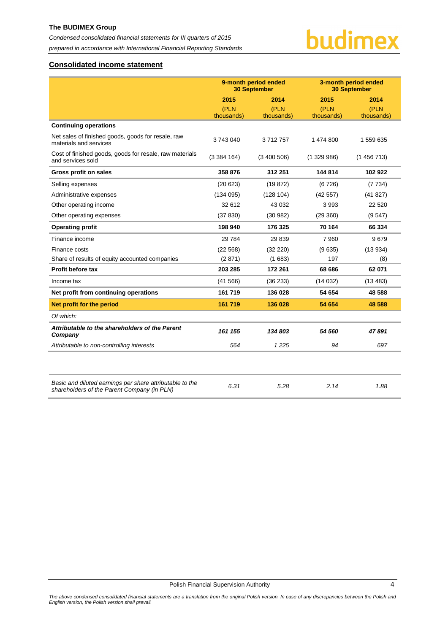### **The BUDIMEX Group**

*Condensed consolidated financial statements for III quarters of 2015 prepared in accordance with International Financial Reporting Standards*

# budimex

# <span id="page-4-0"></span>**Consolidated income statement**

|                                                                                                         | 9-month period ended<br><b>30 September</b> |            |            | 3-month period ended<br><b>30 September</b> |
|---------------------------------------------------------------------------------------------------------|---------------------------------------------|------------|------------|---------------------------------------------|
|                                                                                                         | 2015                                        | 2014       | 2015       | 2014                                        |
|                                                                                                         | (PLN                                        | (PLN       | (PLN       | (PLN                                        |
|                                                                                                         | thousands)                                  | thousands) | thousands) | thousands)                                  |
| <b>Continuing operations</b>                                                                            |                                             |            |            |                                             |
| Net sales of finished goods, goods for resale, raw<br>materials and services                            | 3743040                                     | 3712757    | 1 474 800  | 1 559 635                                   |
| Cost of finished goods, goods for resale, raw materials<br>and services sold                            | (3384164)                                   | (3400506)  | (1329986)  | (1456713)                                   |
| Gross profit on sales                                                                                   | 358 876                                     | 312 251    | 144 814    | 102922                                      |
| Selling expenses                                                                                        | (20623)                                     | (19872)    | (6726)     | (7734)                                      |
| Administrative expenses                                                                                 | (134095)                                    | (128104)   | (42557)    | (41827)                                     |
| Other operating income                                                                                  | 32 612                                      | 43 032     | 3993       | 22 5 20                                     |
| Other operating expenses                                                                                | (37 830)                                    | (30982)    | (29 360)   | (9547)                                      |
| <b>Operating profit</b>                                                                                 | 198 940                                     | 176 325    | 70 164     | 66 334                                      |
| Finance income                                                                                          | 29 7 84                                     | 29839      | 7960       | 9679                                        |
| Finance costs                                                                                           | (22 568)                                    | (32 220)   | (9635)     | (13934)                                     |
| Share of results of equity accounted companies                                                          | (2871)                                      | (1683)     | 197        | (8)                                         |
| Profit before tax                                                                                       | 203 285                                     | 172 261    | 68 686     | 62 071                                      |
| Income tax                                                                                              | (41566)                                     | (36 233)   | (14032)    | (13 483)                                    |
| Net profit from continuing operations                                                                   | 161 719                                     | 136 028    | 54 654     | 48 588                                      |
| Net profit for the period                                                                               | 161 719                                     | 136 028    | 54 654     | 48 588                                      |
| Of which:                                                                                               |                                             |            |            |                                             |
| Attributable to the shareholders of the Parent<br>Company                                               | 161 155                                     | 134 803    | 54 560     | 47891                                       |
| Attributable to non-controlling interests                                                               | 564                                         | 1225       | 94         | 697                                         |
|                                                                                                         |                                             |            |            |                                             |
| Basic and diluted earnings per share attributable to the<br>shareholders of the Parent Company (in PLN) | 6.31                                        | 5.28       | 2.14       | 1.88                                        |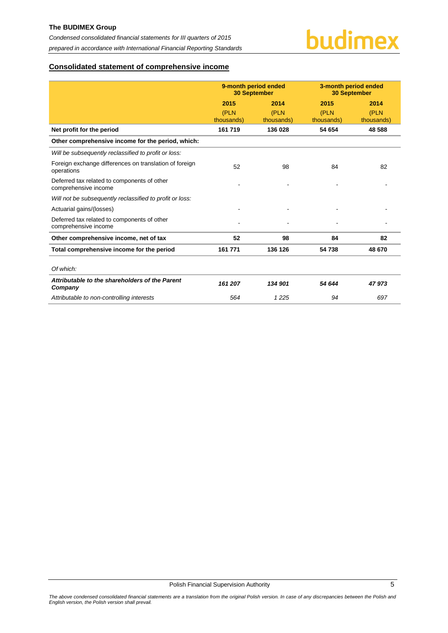

# <span id="page-5-0"></span>**Consolidated statement of comprehensive income**

|                                                                      | 9-month period ended<br><b>30 September</b> |            | 3-month period ended<br><b>30 September</b> |            |  |
|----------------------------------------------------------------------|---------------------------------------------|------------|---------------------------------------------|------------|--|
|                                                                      | 2015                                        | 2014       | 2015                                        | 2014       |  |
|                                                                      | (PLN                                        | (PLN       | (PLN                                        | (PLN       |  |
|                                                                      | thousands)                                  | thousands) | thousands)                                  | thousands) |  |
| Net profit for the period                                            | 161 719                                     | 136 028    | 54 654                                      | 48 588     |  |
| Other comprehensive income for the period, which:                    |                                             |            |                                             |            |  |
| Will be subsequently reclassified to profit or loss:                 |                                             |            |                                             |            |  |
| Foreign exchange differences on translation of foreign<br>operations | 52                                          | 98         | 84                                          | 82         |  |
| Deferred tax related to components of other<br>comprehensive income  |                                             |            |                                             |            |  |
| Will not be subsequently reclassified to profit or loss:             |                                             |            |                                             |            |  |
| Actuarial gains/(losses)                                             |                                             |            |                                             |            |  |
| Deferred tax related to components of other<br>comprehensive income  |                                             |            |                                             |            |  |
| Other comprehensive income, net of tax                               | 52                                          | 98         | 84                                          | 82         |  |
| Total comprehensive income for the period                            | 161 771                                     | 136 126    | 54 738                                      | 48 670     |  |
|                                                                      |                                             |            |                                             |            |  |
| Of which:                                                            |                                             |            |                                             |            |  |
| Attributable to the shareholders of the Parent<br>Company            | 161 207                                     | 134 901    | 54 644                                      | 47973      |  |
| Attributable to non-controlling interests                            | 564                                         | 1225       | 94                                          | 697        |  |

Polish Financial Supervision Authority 5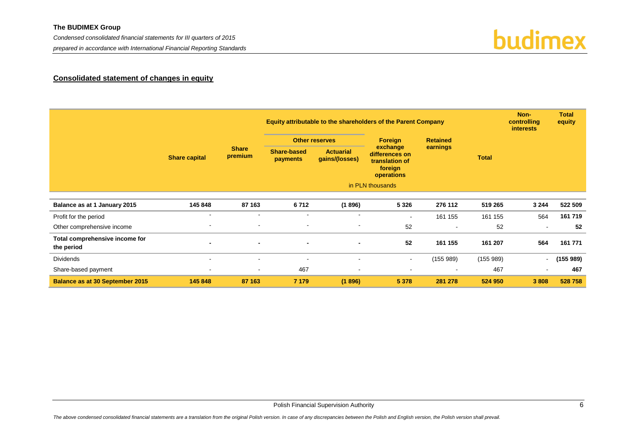*Condensed consolidated financial statements for III quarters of 2015* 

*prepared in accordance with International Financial Reporting Standards*

# budimex

# **Consolidated statement of changes in equity**

<span id="page-6-0"></span>

|                                              |                          |                         |                                         | Equity attributable to the shareholders of the Parent Company |                                                                       |                |              |                          | <b>Total</b><br>equity |
|----------------------------------------------|--------------------------|-------------------------|-----------------------------------------|---------------------------------------------------------------|-----------------------------------------------------------------------|----------------|--------------|--------------------------|------------------------|
|                                              |                          |                         | <b>Foreign</b><br><b>Other reserves</b> |                                                               | <b>Retained</b>                                                       |                |              |                          |                        |
|                                              | <b>Share capital</b>     | <b>Share</b><br>premium | Share-based<br>payments                 | <b>Actuarial</b><br>gains/(losses)                            | exchange<br>differences on<br>translation of<br>foreign<br>operations | earnings       | <b>Total</b> |                          |                        |
|                                              |                          |                         |                                         |                                                               | in PLN thousands                                                      |                |              |                          |                        |
| Balance as at 1 January 2015                 | 145 848                  | 87 163                  | 6712                                    | (1896)                                                        | 5 3 2 6                                                               | 276 112        | 519 265      | 3 2 4 4                  | 522 509                |
| Profit for the period                        | $\overline{\phantom{a}}$ | $\blacksquare$          | $\blacksquare$                          | $\overline{\phantom{a}}$                                      | $\overline{\phantom{a}}$                                              | 161 155        | 161 155      | 564                      | 161 719                |
| Other comprehensive income                   | $\sim$                   | $\blacksquare$          | $\blacksquare$                          | $\sim$                                                        | 52                                                                    | $\blacksquare$ | 52           | $\overline{\phantom{a}}$ | 52                     |
| Total comprehensive income for<br>the period | $\overline{\phantom{a}}$ | $\blacksquare$          | $\overline{\phantom{0}}$                |                                                               | 52                                                                    | 161 155        | 161 207      | 564                      | 161 771                |
| <b>Dividends</b>                             | $\blacksquare$           | $\blacksquare$          | $\overline{\phantom{a}}$                | $\sim$                                                        | $\sim$                                                                | (155989)       | (155989)     | $\overline{a}$           | (155989)               |
| Share-based payment                          | $\overline{\phantom{a}}$ | $\sim$                  | 467                                     | $\overline{\phantom{a}}$                                      | $\blacksquare$                                                        |                | 467          | $\sim$                   | 467                    |
| <b>Balance as at 30 September 2015</b>       | 145 848                  | 87 163                  | 7 1 7 9                                 | (1896)                                                        | 5 3 7 8                                                               | 281 278        | 524 950      | 3 8 0 8                  | 528758                 |

Polish Financial Supervision Authority 6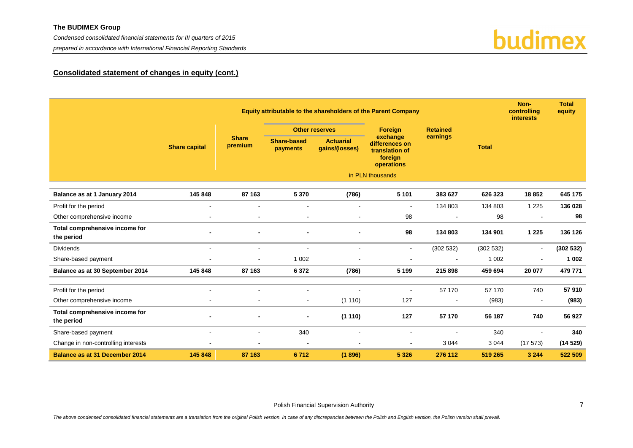#### **The BUDIMEX Group**

*Condensed consolidated financial statements for III quarters of 2015* 

*prepared in accordance with International Financial Reporting Standards*



# **Consolidated statement of changes in equity (cont.)**

|                                              |                      |                          |                                |                                    | Equity attributable to the shareholders of the Parent Company         |                 |              | Non-<br>controlling<br><b>interests</b> | <b>Total</b><br>equity |
|----------------------------------------------|----------------------|--------------------------|--------------------------------|------------------------------------|-----------------------------------------------------------------------|-----------------|--------------|-----------------------------------------|------------------------|
|                                              |                      |                          |                                | <b>Other reserves</b>              | Foreign                                                               | <b>Retained</b> |              |                                         |                        |
|                                              | <b>Share capital</b> | <b>Share</b><br>premium  | Share-based<br><b>payments</b> | <b>Actuarial</b><br>gains/(losses) | exchange<br>differences on<br>translation of<br>foreign<br>operations | earnings        | <b>Total</b> |                                         |                        |
|                                              |                      |                          |                                |                                    | in PLN thousands                                                      |                 |              |                                         |                        |
| Balance as at 1 January 2014                 | 145 848              | 87 163                   | 5 3 7 0                        | (786)                              | 5 1 0 1                                                               | 383 627         | 626 323      | 18852                                   | 645 175                |
| Profit for the period                        | $\blacksquare$       | $\blacksquare$           | $\blacksquare$                 | $\overline{\phantom{a}}$           | $\overline{\phantom{a}}$                                              | 134 803         | 134 803      | 1 2 2 5                                 | 136 028                |
| Other comprehensive income                   | $\blacksquare$       | $\blacksquare$           | $\blacksquare$                 | $\sim$                             | 98                                                                    | $\sim$          | 98           | $\overline{a}$                          | 98                     |
| Total comprehensive income for<br>the period |                      | $\blacksquare$           |                                |                                    | 98                                                                    | 134 803         | 134 901      | 1 2 2 5                                 | 136 126                |
| <b>Dividends</b>                             | $\sim$               | $\overline{\phantom{a}}$ | $\blacksquare$                 | $\sim$                             | $\blacksquare$                                                        | (302532)        | (302532)     | $\blacksquare$                          | (302532)               |
| Share-based payment                          |                      |                          | 1 0 0 2                        |                                    | $\blacksquare$                                                        |                 | 1 0 0 2      | $\blacksquare$                          | 1 0 0 2                |
| Balance as at 30 September 2014              | 145 848              | 87 163                   | 6 3 7 2                        | (786)                              | 5 1 9 9                                                               | 215 898         | 459 694      | 20 077                                  | 479 771                |
| Profit for the period                        | $\sim$               | $\blacksquare$           | $\blacksquare$                 |                                    | $\blacksquare$                                                        | 57 170          | 57 170       | 740                                     | 57910                  |
| Other comprehensive income                   |                      | $\blacksquare$           | $\blacksquare$                 | (1110)                             | 127                                                                   | $\sim$          | (983)        | $\sim$                                  | (983)                  |
| Total comprehensive income for<br>the period |                      | $\blacksquare$           |                                | (1110)                             | 127                                                                   | 57 170          | 56 187       | 740                                     | 56 927                 |
| Share-based payment                          | $\sim$               | $\blacksquare$           | 340                            | $\sim$                             | $\overline{\phantom{a}}$                                              | $\sim$          | 340          | $\overline{\phantom{a}}$                | 340                    |
| Change in non-controlling interests          |                      |                          | $\overline{\phantom{a}}$       |                                    | $\overline{\phantom{a}}$                                              | 3 0 4 4         | 3 0 4 4      | (17573)                                 | (14529)                |
| <b>Balance as at 31 December 2014</b>        | 145 848              | 87 163                   | 6712                           | (1896)                             | 5 3 2 6                                                               | 276 112         | 519 265      | 3 2 4 4                                 | 522 509                |

Polish Financial Supervision Authority 7 and 2008 and 2009 and 2009 and 2009 and 2009 and 2009 and 2009 and 20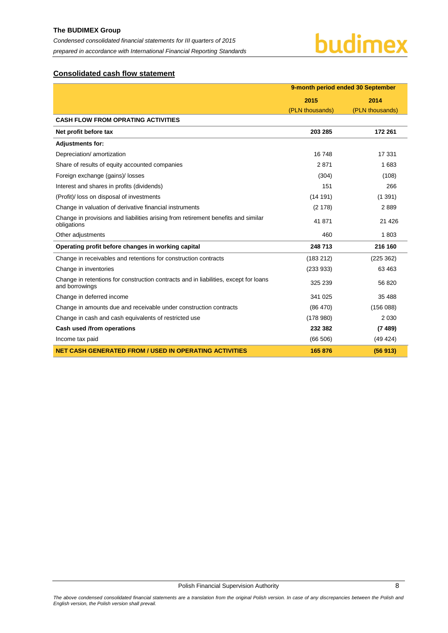# <span id="page-8-0"></span>**Consolidated cash flow statement**

|                                                                                                        | 9-month period ended 30 September |                 |  |  |
|--------------------------------------------------------------------------------------------------------|-----------------------------------|-----------------|--|--|
|                                                                                                        | 2015                              | 2014            |  |  |
|                                                                                                        | (PLN thousands)                   | (PLN thousands) |  |  |
| <b>CASH FLOW FROM OPRATING ACTIVITIES</b>                                                              |                                   |                 |  |  |
| Net profit before tax                                                                                  | 203 285                           | 172 261         |  |  |
| <b>Adjustments for:</b>                                                                                |                                   |                 |  |  |
| Depreciation/ amortization                                                                             | 16748                             | 17 331          |  |  |
| Share of results of equity accounted companies                                                         | 2871                              | 1683            |  |  |
| Foreign exchange (gains)/ losses                                                                       | (304)                             | (108)           |  |  |
| Interest and shares in profits (dividends)                                                             | 151                               | 266             |  |  |
| (Profit)/ loss on disposal of investments                                                              | (14191)                           | (1391)          |  |  |
| Change in valuation of derivative financial instruments                                                | (2178)                            | 2889            |  |  |
| Change in provisions and liabilities arising from retirement benefits and similar<br>obligations       | 41871                             | 21 4 26         |  |  |
| Other adjustments                                                                                      | 460                               | 1803            |  |  |
| Operating profit before changes in working capital                                                     | 248 713                           | 216 160         |  |  |
| Change in receivables and retentions for construction contracts                                        | (183 212)                         | (225 362)       |  |  |
| Change in inventories                                                                                  | (233933)                          | 63 4 63         |  |  |
| Change in retentions for construction contracts and in liabilities, except for loans<br>and borrowings | 325 239                           | 56 820          |  |  |
| Change in deferred income                                                                              | 341 025                           | 35 4 88         |  |  |
| Change in amounts due and receivable under construction contracts                                      | (86 470)                          | (156088)        |  |  |
| Change in cash and cash equivalents of restricted use                                                  | (178980)                          | 2 0 3 0         |  |  |
| Cash used /from operations                                                                             | 232 382                           | (7489)          |  |  |
| Income tax paid                                                                                        | (66 506)                          | (49 424)        |  |  |
| <b>NET CASH GENERATED FROM / USED IN OPERATING ACTIVITIES</b>                                          | 165 876                           | (56913)         |  |  |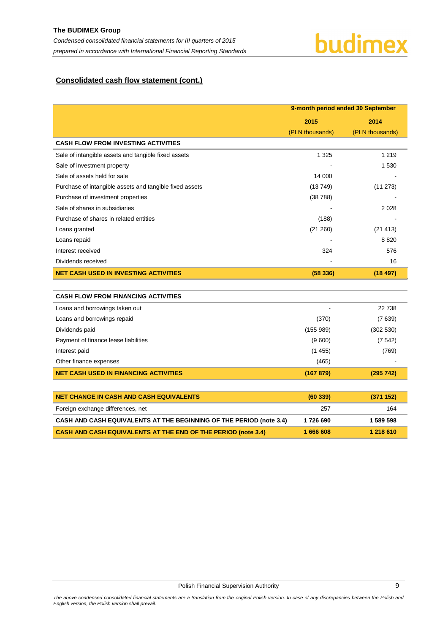# budimex

# **Consolidated cash flow statement (cont.)**

|                                                         |                 | 9-month period ended 30 September |  |  |
|---------------------------------------------------------|-----------------|-----------------------------------|--|--|
|                                                         | 2015            | 2014                              |  |  |
|                                                         | (PLN thousands) | (PLN thousands)                   |  |  |
| <b>CASH FLOW FROM INVESTING ACTIVITIES</b>              |                 |                                   |  |  |
| Sale of intangible assets and tangible fixed assets     | 1 3 2 5         | 1 2 1 9                           |  |  |
| Sale of investment property                             |                 | 1 5 3 0                           |  |  |
| Sale of assets held for sale                            | 14 000          |                                   |  |  |
| Purchase of intangible assets and tangible fixed assets | (13749)         | (11 273)                          |  |  |
| Purchase of investment properties                       | (38788)         |                                   |  |  |
| Sale of shares in subsidiaries                          |                 | 2028                              |  |  |
| Purchase of shares in related entities                  | (188)           |                                   |  |  |
| Loans granted                                           | (21 260)        | (21 413)                          |  |  |
| Loans repaid                                            |                 | 8820                              |  |  |
| Interest received                                       | 324             | 576                               |  |  |
| Dividends received                                      |                 | 16                                |  |  |
| <b>NET CASH USED IN INVESTING ACTIVITIES</b>            | (58336)         | (18497)                           |  |  |
|                                                         |                 |                                   |  |  |
| <b>CASH FLOW FROM FINANCING ACTIVITIES</b>              |                 |                                   |  |  |
| Loans and borrowings taken out                          |                 | 22738                             |  |  |
| Loans and borrowings repaid                             | (370)           | (7639)                            |  |  |
| Dividends paid                                          | (155989)        | (302 530)                         |  |  |
| Payment of finance lease liabilities                    | (9600)          | (7542)                            |  |  |
| Interest paid                                           | (1455)          | (769)                             |  |  |
| Other finance expenses                                  | (465)           |                                   |  |  |
| <b>NET CASH USED IN FINANCING ACTIVITIES</b>            | (167 879)       | (295742)                          |  |  |
|                                                         |                 |                                   |  |  |
| <b>NET CHANGE IN CASH AND CASH EQUIVALENTS</b>          | (60339)         | (371152)                          |  |  |
| Foreign exchange differences, net                       | 257             | 164                               |  |  |
|                                                         |                 |                                   |  |  |

**CASH AND CASH EQUIVALENTS AT THE BEGINNING OF THE PERIOD (not[e 3.4\)](#page-13-2) 1 726 690 1 589 598 CASH AND CASH EQUIVALENTS AT THE END OF THE PERIOD (note [3.4\)](#page-13-2) 1 666 608 1 218 610**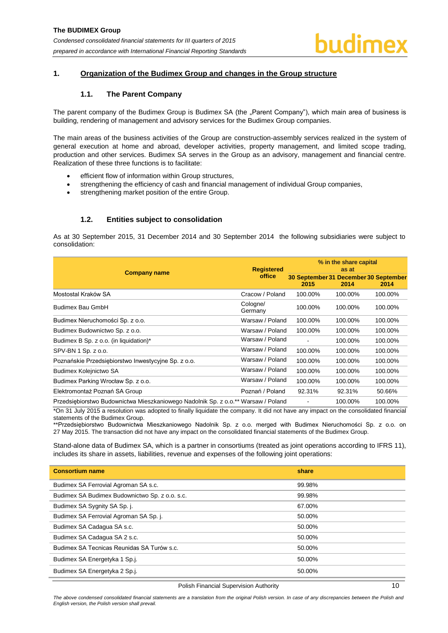#### <span id="page-10-1"></span><span id="page-10-0"></span>**1. Organization of the Budimex Group and changes in the Group structure**

## **1.1. The Parent Company**

The parent company of the Budimex Group is Budimex SA (the "Parent Company"), which main area of business is building, rendering of management and advisory services for the Budimex Group companies.

The main areas of the business activities of the Group are construction-assembly services realized in the system of general execution at home and abroad, developer activities, property management, and limited scope trading, production and other services. Budimex SA serves in the Group as an advisory, management and financial centre. Realization of these three functions is to facilitate:

- efficient flow of information within Group structures,
- strengthening the efficiency of cash and financial management of individual Group companies,
- strengthening market position of the entire Group.

### **1.2. Entities subject to consolidation**

<span id="page-10-2"></span>As at 30 September 2015, 31 December 2014 and 30 September 2014 the following subsidiaries were subject to consolidation:

|                                                                                   | <b>Registered</b>   | % in the share capital<br>as at |                                               |         |  |
|-----------------------------------------------------------------------------------|---------------------|---------------------------------|-----------------------------------------------|---------|--|
| <b>Company name</b>                                                               | office              | 2015                            | 30 September 31 December 30 September<br>2014 | 2014    |  |
| Mostostal Kraków SA                                                               | Cracow / Poland     | 100.00%                         | 100.00%                                       | 100.00% |  |
| Budimex Bau GmbH                                                                  | Cologne/<br>Germany | 100.00%                         | 100.00%                                       | 100.00% |  |
| Budimex Nieruchomości Sp. z o.o.                                                  | Warsaw / Poland     | 100.00%                         | 100.00%                                       | 100.00% |  |
| Budimex Budownictwo Sp. z o.o.                                                    | Warsaw / Poland     | 100.00%                         | 100.00%                                       | 100.00% |  |
| Budimex B Sp. z o.o. (in liquidation)*                                            | Warsaw / Poland     |                                 | 100.00%                                       | 100.00% |  |
| SPV-BN 1 Sp. z o.o.                                                               | Warsaw / Poland     | 100.00%                         | 100.00%                                       | 100.00% |  |
| Poznańskie Przedsiębiorstwo Inwestycyjne Sp. z o.o.                               | Warsaw / Poland     | 100.00%                         | 100.00%                                       | 100.00% |  |
| Budimex Kolejnictwo SA                                                            | Warsaw / Poland     | 100.00%                         | 100.00%                                       | 100.00% |  |
| Budimex Parking Wrocław Sp. z o.o.                                                | Warsaw / Poland     | 100.00%                         | 100.00%                                       | 100.00% |  |
| Elektromontaż Poznań SA Group                                                     | Poznań / Poland     | 92.31%                          | 92.31%                                        | 50.66%  |  |
| Przedsiębiorstwo Budownictwa Mieszkaniowego Nadolnik Sp. z o.o.** Warsaw / Poland |                     |                                 | 100.00%                                       | 100.00% |  |

\*On 31 July 2015 a resolution was adopted to finally liquidate the company. It did not have any impact on the consolidated financial statements of the Budimex Group.

\*\*Przedsiębiorstwo Budownictwa Mieszkaniowego Nadolnik Sp. z o.o. merged with Budimex Nieruchomości Sp. z o.o. on 27 May 2015. The transaction did not have any impact on the consolidated financial statements of the Budimex Group.

Stand-alone data of Budimex SA, which is a partner in consortiums (treated as joint operations according to IFRS 11), includes its share in assets, liabilities, revenue and expenses of the following joint operations:

| <b>Consortium name</b>                         | share  |
|------------------------------------------------|--------|
| Budimex SA Ferrovial Agroman SA s.c.           | 99.98% |
| Budimex SA Budimex Budownictwo Sp. z o.o. s.c. | 99.98% |
| Budimex SA Sygnity SA Sp. j.                   | 67.00% |
| Budimex SA Ferrovial Agroman SA Sp. j.         | 50.00% |
| Budimex SA Cadagua SA s.c.                     | 50.00% |
| Budimex SA Cadagua SA 2 s.c.                   | 50.00% |
| Budimex SA Tecnicas Reunidas SA Turów s.c.     | 50.00% |
| Budimex SA Energetyka 1 Sp.j.                  | 50.00% |
| Budimex SA Energetyka 2 Sp.j.                  | 50.00% |

#### Polish Financial Supervision Authority 10

The above condensed consolidated financial statements are a translation from the original Polish version. In case of any discrepancies between the Polish and *English version, the Polish version shall prevail.*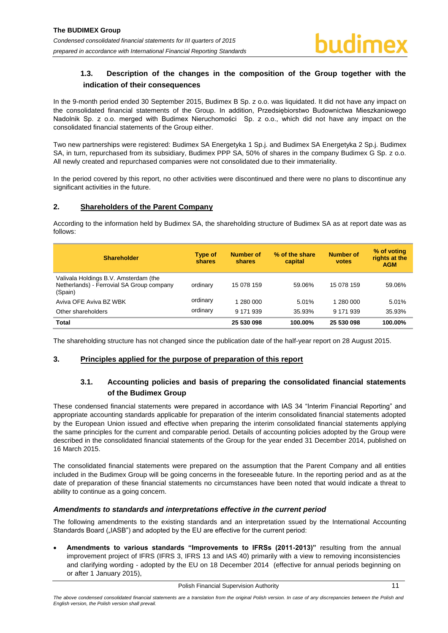# <span id="page-11-0"></span>**1.3. Description of the changes in the composition of the Group together with the indication of their consequences**

In the 9-month period ended 30 September 2015, Budimex B Sp. z o.o. was liquidated. It did not have any impact on the consolidated financial statements of the Group. In addition, Przedsiębiorstwo Budownictwa Mieszkaniowego Nadolnik Sp. z o.o. merged with Budimex Nieruchomości Sp. z o.o., which did not have any impact on the consolidated financial statements of the Group either.

Two new partnerships were registered: Budimex SA Energetyka 1 Sp.j. and Budimex SA Energetyka 2 Sp.j. Budimex SA, in turn, repurchased from its subsidiary, Budimex PPP SA, 50% of shares in the company Budimex G Sp. z o.o. All newly created and repurchased companies were not consolidated due to their immateriality.

In the period covered by this report, no other activities were discontinued and there were no plans to discontinue any significant activities in the future.

# <span id="page-11-1"></span>**2. Shareholders of the Parent Company**

According to the information held by Budimex SA, the shareholding structure of Budimex SA as at report date was as follows:

| <b>Shareholder</b>                                                                            | Type of<br>shares | <b>Number of</b><br>shares | % of the share<br>capital | <b>Number of</b><br>votes | % of voting<br>rights at the<br><b>AGM</b> |
|-----------------------------------------------------------------------------------------------|-------------------|----------------------------|---------------------------|---------------------------|--------------------------------------------|
| Valivala Holdings B.V. Amsterdam (the<br>Netherlands) - Ferrovial SA Group company<br>(Spain) | ordinary          | 15 078 159                 | 59.06%                    | 15 078 159                | 59.06%                                     |
| Aviva OFE Aviva BZ WBK                                                                        | ordinary          | 1 280 000                  | 5.01%                     | 1 280 000                 | 5.01%                                      |
| Other shareholders                                                                            | ordinary          | 9 171 939                  | 35.93%                    | 9 171 939                 | 35.93%                                     |
| <b>Total</b>                                                                                  |                   | 25 530 098                 | 100.00%                   | 25 530 098                | 100.00%                                    |

The shareholding structure has not changed since the publication date of the half-year report on 28 August 2015.

### <span id="page-11-3"></span><span id="page-11-2"></span>**3. Principles applied for the purpose of preparation of this report**

# **3.1. Accounting policies and basis of preparing the consolidated financial statements of the Budimex Group**

These condensed financial statements were prepared in accordance with IAS 34 "Interim Financial Reporting" and appropriate accounting standards applicable for preparation of the interim consolidated financial statements adopted by the European Union issued and effective when preparing the interim consolidated financial statements applying the same principles for the current and comparable period. Details of accounting policies adopted by the Group were described in the consolidated financial statements of the Group for the year ended 31 December 2014, published on 16 March 2015.

The consolidated financial statements were prepared on the assumption that the Parent Company and all entities included in the Budimex Group will be going concerns in the foreseeable future. In the reporting period and as at the date of preparation of these financial statements no circumstances have been noted that would indicate a threat to ability to continue as a going concern.

### *Amendments to standards and interpretations effective in the current period*

The following amendments to the existing standards and an interpretation ssued by the International Accounting Standards Board ("IASB") and adopted by the EU are effective for the current period:

 **Amendments to various standards "Improvements to IFRSs (2011-2013)"** resulting from the annual improvement project of IFRS (IFRS 3, IFRS 13 and IAS 40) primarily with a view to removing inconsistencies and clarifying wording - adopted by the EU on 18 December 2014 (effective for annual periods beginning on or after 1 January 2015),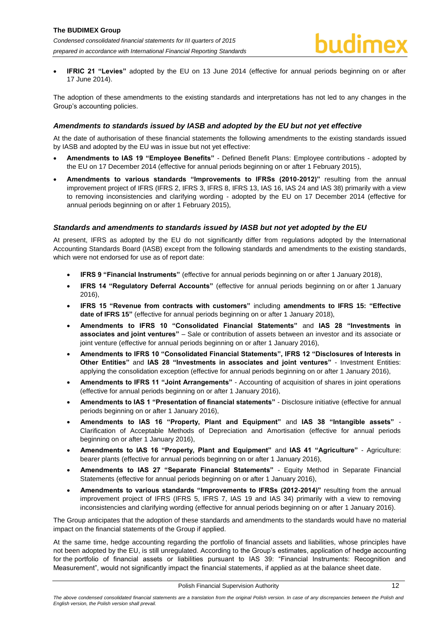**IFRIC 21 "Levies"** adopted by the EU on 13 June 2014 (effective for annual periods beginning on or after 17 June 2014).

The adoption of these amendments to the existing standards and interpretations has not led to any changes in the Group's accounting policies.

#### *Amendments to standards issued by IASB and adopted by the EU but not yet effective*

At the date of authorisation of these financial statements the following amendments to the existing standards issued by IASB and adopted by the EU was in issue but not yet effective:

- **Amendments to IAS 19 "Employee Benefits"**  Defined Benefit Plans: Employee contributions adopted by the EU on 17 December 2014 (effective for annual periods beginning on or after 1 February 2015),
- **Amendments to various standards "Improvements to IFRSs (2010-2012)"** resulting from the annual improvement project of IFRS (IFRS 2, IFRS 3, IFRS 8, IFRS 13, IAS 16, IAS 24 and IAS 38) primarily with a view to removing inconsistencies and clarifying wording - adopted by the EU on 17 December 2014 (effective for annual periods beginning on or after 1 February 2015),

#### *Standards and amendments to standards issued by IASB but not yet adopted by the EU*

At present, IFRS as adopted by the EU do not significantly differ from regulations adopted by the International Accounting Standards Board (IASB) except from the following standards and amendments to the existing standards, which were not endorsed for use as of report date:

- **IFRS 9 "Financial Instruments"** (effective for annual periods beginning on or after 1 January 2018),
- **IFRS 14 "Regulatory Deferral Accounts"** (effective for annual periods beginning on or after 1 January 2016),
- **IFRS 15 "Revenue from contracts with customers"** including **amendments to IFRS 15: "Effective date of IFRS 15"** (effective for annual periods beginning on or after 1 January 2018),
- **Amendments to IFRS 10 "Consolidated Financial Statements"** and **IAS 28 "Investments in associates and joint ventures"** – Sale or contribution of assets between an investor and its associate or joint venture (effective for annual periods beginning on or after 1 January 2016),
- **Amendments to IFRS 10 "Consolidated Financial Statements", IFRS 12 "Disclosures of Interests in Other Entities"** and **IAS 28 "Investments in associates and joint ventures"** - Investment Entities: applying the consolidation exception (effective for annual periods beginning on or after 1 January 2016),
- **Amendments to IFRS 11 "Joint Arrangements"**  Accounting of acquisition of shares in joint operations (effective for annual periods beginning on or after 1 January 2016),
- **Amendments to IAS 1 "Presentation of financial statements"**  Disclosure initiative (effective for annual periods beginning on or after 1 January 2016),
- **Amendments to IAS 16 "Property, Plant and Equipment"** and **IAS 38 "Intangible assets"**  Clarification of Acceptable Methods of Depreciation and Amortisation (effective for annual periods beginning on or after 1 January 2016),
- **Amendments to IAS 16 "Property, Plant and Equipment"** and **IAS 41 "Agriculture"**  Agriculture: bearer plants (effective for annual periods beginning on or after 1 January 2016),
- **Amendments to IAS 27 "Separate Financial Statements"**  Equity Method in Separate Financial Statements (effective for annual periods beginning on or after 1 January 2016),
- **Amendments to various standards "Improvements to IFRSs (2012-2014)"** resulting from the annual improvement project of IFRS (IFRS 5, IFRS 7, IAS 19 and IAS 34) primarily with a view to removing inconsistencies and clarifying wording (effective for annual periods beginning on or after 1 January 2016).

The Group anticipates that the adoption of these standards and amendments to the standards would have no material impact on the financial statements of the Group if applied.

At the same time, hedge accounting regarding the portfolio of financial assets and liabilities, whose principles have not been adopted by the EU, is still unregulated. According to the Group's estimates, application of hedge accounting for the portfolio of financial assets or liabilities pursuant to IAS 39: "Financial Instruments: Recognition and Measurement", would not significantly impact the financial statements, if applied as at the balance sheet date.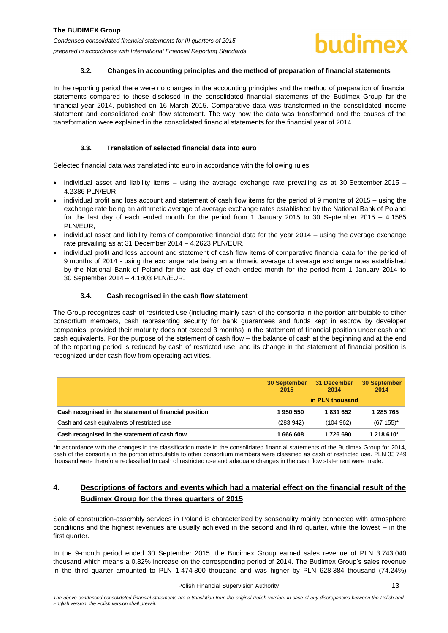#### **3.2. Changes in accounting principles and the method of preparation of financial statements**

<span id="page-13-0"></span>In the reporting period there were no changes in the accounting principles and the method of preparation of financial statements compared to those disclosed in the consolidated financial statements of the Budimex Group for the financial year 2014, published on 16 March 2015. Comparative data was transformed in the consolidated income statement and consolidated cash flow statement. The way how the data was transformed and the causes of the transformation were explained in the consolidated financial statements for the financial year of 2014.

### **3.3. Translation of selected financial data into euro**

<span id="page-13-1"></span>Selected financial data was translated into euro in accordance with the following rules:

- $\bullet$  individual asset and liability items using the average exchange rate prevailing as at 30 September 2015 4.2386 PLN/EUR,
- individual profit and loss account and statement of cash flow items for the period of 9 months of 2015 using the exchange rate being an arithmetic average of average exchange rates established by the National Bank of Poland for the last day of each ended month for the period from 1 January 2015 to 30 September 2015 – 4.1585 PLN/EUR,
- individual asset and liability items of comparative financial data for the year 2014 using the average exchange rate prevailing as at 31 December 2014 – 4.2623 PLN/EUR,
- individual profit and loss account and statement of cash flow items of comparative financial data for the period of 9 months of 2014 - using the exchange rate being an arithmetic average of average exchange rates established by the National Bank of Poland for the last day of each ended month for the period from 1 January 2014 to 30 September 2014 – 4.1803 PLN/EUR.

### **3.4. Cash recognised in the cash flow statement**

<span id="page-13-2"></span>The Group recognizes cash of restricted use (including mainly cash of the consortia in the portion attributable to other consortium members, cash representing security for bank guarantees and funds kept in escrow by developer companies, provided their maturity does not exceed 3 months) in the statement of financial position under cash and cash equivalents. For the purpose of the statement of cash flow – the balance of cash at the beginning and at the end of the reporting period is reduced by cash of restricted use, and its change in the statement of financial position is recognized under cash flow from operating activities.

|                                                        | <b>30 September</b><br>2015 | 31 December<br>2014 | <b>30 September</b><br>2014 |
|--------------------------------------------------------|-----------------------------|---------------------|-----------------------------|
|                                                        |                             | in PLN thousand     |                             |
| Cash recognised in the statement of financial position | 1950 550                    | 1831652             | 285 765                     |
| Cash and cash equivalents of restricted use            | (283942)                    | (104962)            | $(67155)^*$                 |
| Cash recognised in the statement of cash flow          | 1 666 608                   | 1726 690            | 1 218 610*                  |

\*in accordance with the changes in the classification made in the consolidated financial statements of the Budimex Group for 2014, cash of the consortia in the portion attributable to other consortium members were classified as cash of restricted use. PLN 33 749 thousand were therefore reclassified to cash of restricted use and adequate changes in the cash flow statement were made.

# <span id="page-13-3"></span>**4. Descriptions of factors and events which had a material effect on the financial result of the Budimex Group for the three quarters of 2015**

Sale of construction-assembly services in Poland is characterized by seasonality mainly connected with atmosphere conditions and the highest revenues are usually achieved in the second and third quarter, while the lowest – in the first quarter.

In the 9-month period ended 30 September 2015, the Budimex Group earned sales revenue of PLN 3 743 040 thousand which means a 0.82% increase on the corresponding period of 2014. The Budimex Group's sales revenue in the third quarter amounted to PLN 1 474 800 thousand and was higher by PLN 628 384 thousand (74.24%)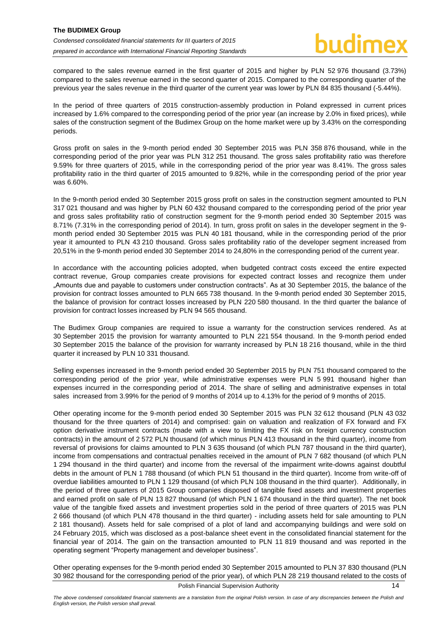compared to the sales revenue earned in the first quarter of 2015 and higher by PLN 52 976 thousand (3.73%) compared to the sales revenue earned in the second quarter of 2015. Compared to the corresponding quarter of the previous year the sales revenue in the third quarter of the current year was lower by PLN 84 835 thousand (-5.44%).

In the period of three quarters of 2015 construction-assembly production in Poland expressed in current prices increased by 1.6% compared to the corresponding period of the prior year (an increase by 2.0% in fixed prices), while sales of the construction segment of the Budimex Group on the home market were up by 3.43% on the corresponding periods.

Gross profit on sales in the 9-month period ended 30 September 2015 was PLN 358 876 thousand, while in the corresponding period of the prior year was PLN 312 251 thousand. The gross sales profitability ratio was therefore 9.59% for three quarters of 2015, while in the corresponding period of the prior year was 8.41%. The gross sales profitability ratio in the third quarter of 2015 amounted to 9.82%, while in the corresponding period of the prior year was 6.60%.

In the 9-month period ended 30 September 2015 gross profit on sales in the construction segment amounted to PLN 317 021 thousand and was higher by PLN 60 432 thousand compared to the corresponding period of the prior year and gross sales profitability ratio of construction segment for the 9-month period ended 30 September 2015 was 8.71% (7.31% in the corresponding period of 2014). In turn, gross profit on sales in the developer segment in the 9 month period ended 30 September 2015 was PLN 40 181 thousand, while in the corresponding period of the prior year it amounted to PLN 43 210 thousand. Gross sales profitability ratio of the developer segment increased from 20,51% in the 9-month period ended 30 September 2014 to 24,80% in the corresponding period of the current year.

In accordance with the accounting policies adopted, when budgeted contract costs exceed the entire expected contract revenue, Group companies create provisions for expected contract losses and recognize them under "Amounts due and payable to customers under construction contracts". As at 30 September 2015, the balance of the provision for contract losses amounted to PLN 665 738 thousand. In the 9-month period ended 30 September 2015, the balance of provision for contract losses increased by PLN 220 580 thousand. In the third quarter the balance of provision for contract losses increased by PLN 94 565 thousand.

The Budimex Group companies are required to issue a warranty for the construction services rendered. As at 30 September 2015 the provision for warranty amounted to PLN 221 554 thousand. In the 9-month period ended 30 September 2015 the balance of the provision for warranty increased by PLN 18 216 thousand, while in the third quarter it increased by PLN 10 331 thousand.

Selling expenses increased in the 9-month period ended 30 September 2015 by PLN 751 thousand compared to the corresponding period of the prior year, while administrative expenses were PLN 5 991 thousand higher than expenses incurred in the corresponding period of 2014. The share of selling and administrative expenses in total sales increased from 3.99% for the period of 9 months of 2014 up to 4.13% for the period of 9 months of 2015.

Other operating income for the 9-month period ended 30 September 2015 was PLN 32 612 thousand (PLN 43 032 thousand for the three quarters of 2014) and comprised: gain on valuation and realization of FX forward and FX option derivative instrument contracts (made with a view to limiting the FX risk on foreign currency construction contracts) in the amount of 2 572 PLN thousand (of which minus PLN 413 thousand in the third quarter), income from reversal of provisions for claims amounted to PLN 3 635 thousand (of which PLN 787 thousand in the third quarter), income from compensations and contractual penalties received in the amount of PLN 7 682 thousand (of which PLN 1 294 thousand in the third quarter) and income from the reversal of the impairment write-downs against doubtful debts in the amount of PLN 1 788 thousand (of which PLN 51 thousand in the third quarter). Income from write-off of overdue liabilities amounted to PLN 1 129 thousand (of which PLN 108 thousand in the third quarter). Additionally, in the period of three quarters of 2015 Group companies disposed of tangible fixed assets and investment properties and earned profit on sale of PLN 13 827 thousand (of which PLN 1 674 thousand in the third quarter). The net book value of the tangible fixed assets and investment properties sold in the period of three quarters of 2015 was PLN 2 666 thousand (of which PLN 478 thousand in the third quarter) - including assets held for sale amounting to PLN 2 181 thousand). Assets held for sale comprised of a plot of land and accompanying buildings and were sold on 24 February 2015, which was disclosed as a post-balance sheet event in the consolidated financial statement for the financial year of 2014. The gain on the transaction amounted to PLN 11 819 thousand and was reported in the operating segment "Property management and developer business".

Other operating expenses for the 9-month period ended 30 September 2015 amounted to PLN 37 830 thousand (PLN 30 982 thousand for the corresponding period of the prior year), of which PLN 28 219 thousand related to the costs of

Polish Financial Supervision Authority 14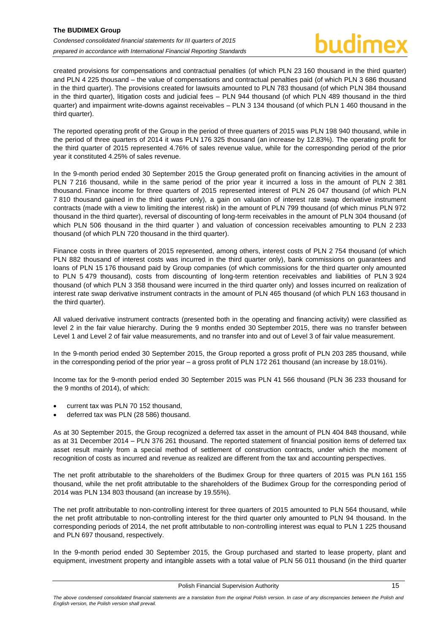created provisions for compensations and contractual penalties (of which PLN 23 160 thousand in the third quarter) and PLN 4 225 thousand – the value of compensations and contractual penalties paid (of which PLN 3 686 thousand in the third quarter). The provisions created for lawsuits amounted to PLN 783 thousand (of which PLN 384 thousand in the third quarter), litigation costs and judicial fees – PLN 944 thousand (of which PLN 489 thousand in the third quarter) and impairment write-downs against receivables – PLN 3 134 thousand (of which PLN 1 460 thousand in the third quarter).

The reported operating profit of the Group in the period of three quarters of 2015 was PLN 198 940 thousand, while in the period of three quarters of 2014 it was PLN 176 325 thousand (an increase by 12.83%). The operating profit for the third quarter of 2015 represented 4.76% of sales revenue value, while for the corresponding period of the prior year it constituted 4.25% of sales revenue.

In the 9-month period ended 30 September 2015 the Group generated profit on financing activities in the amount of PLN 7 216 thousand, while in the same period of the prior year it incurred a loss in the amount of PLN 2 381 thousand. Finance income for three quarters of 2015 represented interest of PLN 26 047 thousand (of which PLN 7 810 thousand gained in the third quarter only), a gain on valuation of interest rate swap derivative instrument contracts (made with a view to limiting the interest risk) in the amount of PLN 799 thousand (of which minus PLN 972 thousand in the third quarter), reversal of discounting of long-term receivables in the amount of PLN 304 thousand (of which PLN 506 thousand in the third quarter ) and valuation of concession receivables amounting to PLN 2 233 thousand (of which PLN 720 thousand in the third quarter).

Finance costs in three quarters of 2015 represented, among others, interest costs of PLN 2 754 thousand (of which PLN 882 thousand of interest costs was incurred in the third quarter only), bank commissions on guarantees and loans of PLN 15 176 thousand paid by Group companies (of which commissions for the third quarter only amounted to PLN 5 479 thousand), costs from discounting of long-term retention receivables and liabilities of PLN 3 924 thousand (of which PLN 3 358 thousand were incurred in the third quarter only) and losses incurred on realization of interest rate swap derivative instrument contracts in the amount of PLN 465 thousand (of which PLN 163 thousand in the third quarter).

All valued derivative instrument contracts (presented both in the operating and financing activity) were classified as level 2 in the fair value hierarchy. During the 9 months ended 30 September 2015, there was no transfer between Level 1 and Level 2 of fair value measurements, and no transfer into and out of Level 3 of fair value measurement.

In the 9-month period ended 30 September 2015, the Group reported a gross profit of PLN 203 285 thousand, while in the corresponding period of the prior year – a gross profit of PLN 172 261 thousand (an increase by 18.01%).

Income tax for the 9-month period ended 30 September 2015 was PLN 41 566 thousand (PLN 36 233 thousand for the 9 months of 2014), of which:

- current tax was PLN 70 152 thousand,
- deferred tax was PLN (28 586) thousand.

As at 30 September 2015, the Group recognized a deferred tax asset in the amount of PLN 404 848 thousand, while as at 31 December 2014 – PLN 376 261 thousand. The reported statement of financial position items of deferred tax asset result mainly from a special method of settlement of construction contracts, under which the moment of recognition of costs as incurred and revenue as realized are different from the tax and accounting perspectives.

The net profit attributable to the shareholders of the Budimex Group for three quarters of 2015 was PLN 161 155 thousand, while the net profit attributable to the shareholders of the Budimex Group for the corresponding period of 2014 was PLN 134 803 thousand (an increase by 19.55%).

The net profit attributable to non-controlling interest for three quarters of 2015 amounted to PLN 564 thousand, while the net profit attributable to non-controlling interest for the third quarter only amounted to PLN 94 thousand. In the corresponding periods of 2014, the net profit attributable to non-controlling interest was equal to PLN 1 225 thousand and PLN 697 thousand, respectively.

In the 9-month period ended 30 September 2015, the Group purchased and started to lease property, plant and equipment, investment property and intangible assets with a total value of PLN 56 011 thousand (in the third quarter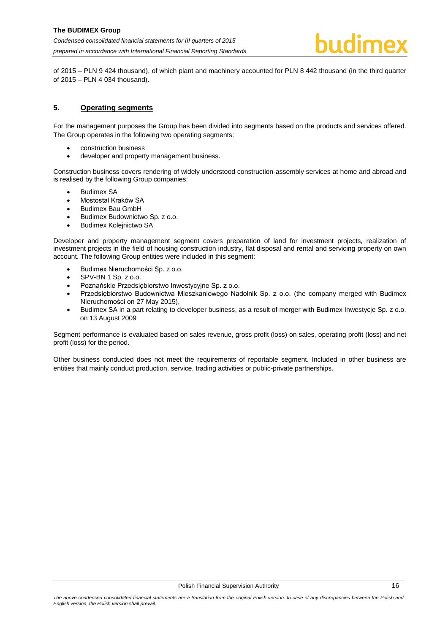of 2015 – PLN 9 424 thousand), of which plant and machinery accounted for PLN 8 442 thousand (in the third quarter of 2015 – PLN 4 034 thousand).

# <span id="page-16-0"></span>**5. Operating segments**

For the management purposes the Group has been divided into segments based on the products and services offered. The Group operates in the following two operating segments:

- construction business
- developer and property management business.

Construction business covers rendering of widely understood construction-assembly services at home and abroad and is realised by the following Group companies:

- Budimex SA
- Mostostal Kraków SA
- Budimex Bau GmbH
- Budimex Budownictwo Sp. z o.o.
- Budimex Kolejnictwo SA

Developer and property management segment covers preparation of land for investment projects, realization of investment projects in the field of housing construction industry, flat disposal and rental and servicing property on own account. The following Group entities were included in this segment:

- Budimex Nieruchomości Sp. z o.o.
- SPV-BN 1 Sp. z o.o.
- Poznańskie Przedsiębiorstwo Inwestycyjne Sp. z o.o.
- Przedsiębiorstwo Budownictwa Mieszkaniowego Nadolnik Sp. z o.o. (the company merged with Budimex Nieruchomości on 27 May 2015),
- Budimex SA in a part relating to developer business, as a result of merger with Budimex Inwestycje Sp. z o.o. on 13 August 2009

Segment performance is evaluated based on sales revenue, gross profit (loss) on sales, operating profit (loss) and net profit (loss) for the period.

Other business conducted does not meet the requirements of reportable segment. Included in other business are entities that mainly conduct production, service, trading activities or public-private partnerships.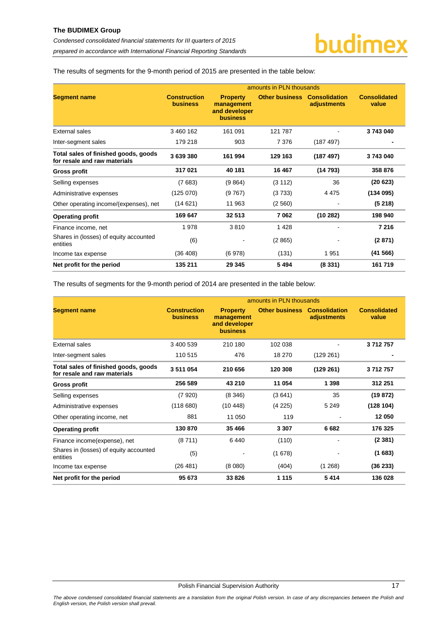The results of segments for the 9-month period of 2015 are presented in the table below:

|                                                                      |                                        |                                                                   | amounts in PLN thousands |                                     |                              |
|----------------------------------------------------------------------|----------------------------------------|-------------------------------------------------------------------|--------------------------|-------------------------------------|------------------------------|
| <b>Segment name</b>                                                  | <b>Construction</b><br><b>business</b> | <b>Property</b><br>management<br>and developer<br><b>business</b> | <b>Other business</b>    | <b>Consolidation</b><br>adjustments | <b>Consolidated</b><br>value |
| <b>External sales</b>                                                | 3 460 162                              | 161 091                                                           | 121 787                  |                                     | 3743040                      |
| Inter-segment sales                                                  | 179 218                                | 903                                                               | 7 3 7 6                  | (187 497)                           |                              |
| Total sales of finished goods, goods<br>for resale and raw materials | 3639380                                | 161 994                                                           | 129 163                  | (187 497)                           | 3743040                      |
| <b>Gross profit</b>                                                  | 317021                                 | 40 181                                                            | 16 467                   | (14793)                             | 358 876                      |
| Selling expenses                                                     | (7683)                                 | (9864)                                                            | (3 112)                  | 36                                  | (20623)                      |
| Administrative expenses                                              | (125070)                               | (9767)                                                            | (3733)                   | 4 4 7 5                             | (134095)                     |
| Other operating income/(expenses), net                               | (14621)                                | 11 963                                                            | (2560)                   |                                     | (5218)                       |
| <b>Operating profit</b>                                              | 169 647                                | 32 513                                                            | 7062                     | (10282)                             | 198 940                      |
| Finance income, net                                                  | 1978                                   | 3810                                                              | 1428                     |                                     | 7 2 1 6                      |
| Shares in (losses) of equity accounted<br>entities                   | (6)                                    |                                                                   | (2865)                   |                                     | (2871)                       |
| Income tax expense                                                   | (36 408)                               | (6978)                                                            | (131)                    | 1951                                | (41566)                      |
| Net profit for the period                                            | 135 211                                | 29 345                                                            | 5494                     | (8331)                              | 161719                       |

The results of segments for the 9-month period of 2014 are presented in the table below:

|                                                                      | amounts in PLN thousands               |                                                                   |                       |                                     |                              |
|----------------------------------------------------------------------|----------------------------------------|-------------------------------------------------------------------|-----------------------|-------------------------------------|------------------------------|
| <b>Segment name</b>                                                  | <b>Construction</b><br><b>business</b> | <b>Property</b><br>management<br>and developer<br><b>business</b> | <b>Other business</b> | <b>Consolidation</b><br>adjustments | <b>Consolidated</b><br>value |
| External sales                                                       | 3 400 539                              | 210 180                                                           | 102 038               |                                     | 3712757                      |
| Inter-segment sales                                                  | 110 515                                | 476                                                               | 18 270                | (129 261)                           |                              |
| Total sales of finished goods, goods<br>for resale and raw materials | 3 511 054                              | 210 656                                                           | 120 308               | (129 261)                           | 3712757                      |
| <b>Gross profit</b>                                                  | 256 589                                | 43 210                                                            | 11 054                | 1 3 9 8                             | 312 251                      |
| Selling expenses                                                     | (7920)                                 | (8346)                                                            | (3641)                | 35                                  | (19872)                      |
| Administrative expenses                                              | (118680)                               | (10448)                                                           | (4225)                | 5 2 4 9                             | (128104)                     |
| Other operating income, net                                          | 881                                    | 11 050                                                            | 119                   |                                     | 12 050                       |
| <b>Operating profit</b>                                              | 130 870                                | 35 466                                                            | 3 3 0 7               | 6682                                | 176 325                      |
| Finance income (expense), net                                        | (8711)                                 | 6440                                                              | (110)                 |                                     | (2381)                       |
| Shares in (losses) of equity accounted<br>entities                   | (5)                                    |                                                                   | (1678)                |                                     | (1683)                       |
| Income tax expense                                                   | (26 481)                               | (8080)                                                            | (404)                 | (1268)                              | (36 233)                     |
| Net profit for the period                                            | 95 673                                 | 33 826                                                            | 1 1 1 5               | 5414                                | 136 028                      |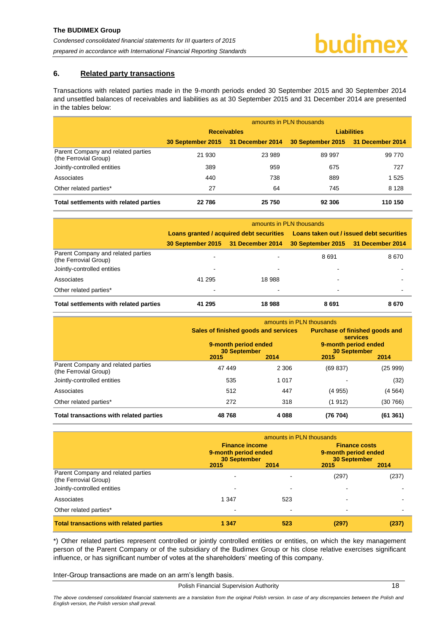## <span id="page-18-0"></span>**6. Related party transactions**

Transactions with related parties made in the 9-month periods ended 30 September 2015 and 30 September 2014 and unsettled balances of receivables and liabilities as at 30 September 2015 and 31 December 2014 are presented in the tables below:

|                                                             | amounts in PLN thousands |                                    |                                    |         |  |  |
|-------------------------------------------------------------|--------------------------|------------------------------------|------------------------------------|---------|--|--|
|                                                             |                          | <b>Receivables</b>                 | <b>Liabilities</b>                 |         |  |  |
|                                                             |                          | 30 September 2015 31 December 2014 | 30 September 2015 31 December 2014 |         |  |  |
| Parent Company and related parties<br>(the Ferrovial Group) | 21 930                   | 23 989                             | 89 997                             | 99 770  |  |  |
| Jointly-controlled entities                                 | 389                      | 959                                | 675                                | 727     |  |  |
| Associates                                                  | 440                      | 738                                | 889                                | 1 5 2 5 |  |  |
| Other related parties*                                      | 27                       | 64                                 | 745                                | 8 1 2 8 |  |  |
| Total settlements with related parties                      | 22786                    | 25 750                             | 92 306                             | 110 150 |  |  |

|                                                             | amounts in PLN thousands |                                          |                                          |      |  |  |
|-------------------------------------------------------------|--------------------------|------------------------------------------|------------------------------------------|------|--|--|
|                                                             |                          | Loans granted / acquired debt securities | Loans taken out / issued debt securities |      |  |  |
|                                                             |                          | 30 September 2015 31 December 2014       | 30 September 2015 31 December 2014       |      |  |  |
| Parent Company and related parties<br>(the Ferrovial Group) |                          |                                          | 8691                                     | 8670 |  |  |
| Jointly-controlled entities                                 |                          |                                          |                                          |      |  |  |
| Associates                                                  | 41 295                   | 18 988                                   |                                          |      |  |  |
| Other related parties*                                      |                          |                                          | $\blacksquare$                           |      |  |  |
| Total settlements with related parties                      | 41 295                   | 18988                                    | 8691                                     | 8670 |  |  |

|                                                             | amounts in PLN thousands                                                                    |         |                                                                                                                 |          |  |  |
|-------------------------------------------------------------|---------------------------------------------------------------------------------------------|---------|-----------------------------------------------------------------------------------------------------------------|----------|--|--|
|                                                             | Sales of finished goods and services<br>9-month period ended<br><b>30 September</b><br>2015 | 2014    | <b>Purchase of finished goods and</b><br><b>services</b><br>9-month period ended<br><b>30 September</b><br>2015 | 2014     |  |  |
| Parent Company and related parties<br>(the Ferrovial Group) | 47 449                                                                                      | 2 3 0 6 | (69 837)                                                                                                        | (25999)  |  |  |
| Jointly-controlled entities                                 | 535                                                                                         | 1 0 1 7 |                                                                                                                 | (32)     |  |  |
| Associates                                                  | 512                                                                                         | 447     | (4955)                                                                                                          | (4564)   |  |  |
| Other related parties*                                      | 272                                                                                         | 318     | (1912)                                                                                                          | (30 766) |  |  |
| Total transactions with related parties                     | 48768                                                                                       | 4 0 8 8 | (76 704)                                                                                                        | (61361)  |  |  |

|                                                                                            | amounts in PLN thousands                                                     |      |                                                                                     |       |  |  |
|--------------------------------------------------------------------------------------------|------------------------------------------------------------------------------|------|-------------------------------------------------------------------------------------|-------|--|--|
|                                                                                            | <b>Finance income</b><br>9-month period ended<br><b>30 September</b><br>2015 | 2014 | <b>Finance costs</b><br>9-month period ended<br><b>30 September</b><br>2015<br>2014 |       |  |  |
| Parent Company and related parties<br>(the Ferrovial Group)<br>Jointly-controlled entities |                                                                              |      | (297)                                                                               | (237) |  |  |
| Associates                                                                                 | 1 3 4 7                                                                      | 523  |                                                                                     |       |  |  |
| Other related parties*                                                                     |                                                                              | -    |                                                                                     |       |  |  |
| <b>Total transactions with related parties</b>                                             | 1 3 4 7                                                                      | 523  | (297)                                                                               |       |  |  |

\*) Other related parties represent controlled or jointly controlled entities or entities, on which the key management person of the Parent Company or of the subsidiary of the Budimex Group or his close relative exercises significant influence, or has significant number of votes at the shareholders' meeting of this company.

Inter-Group transactions are made on an arm's length basis.

Polish Financial Supervision Authority 18

*The above condensed consolidated financial statements are a translation from the original Polish version. In case of any discrepancies between the Polish and English version, the Polish version shall prevail.*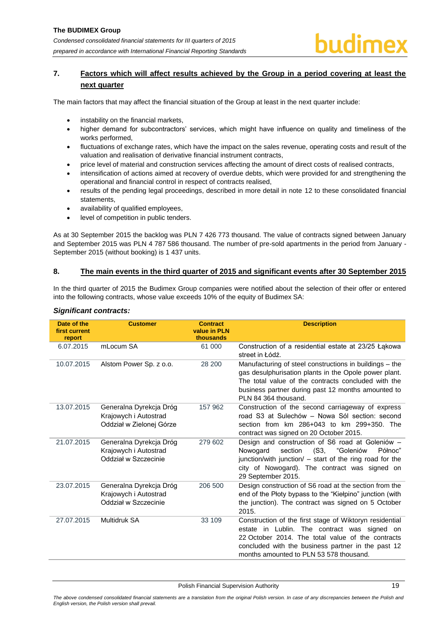# <span id="page-19-0"></span>**7. Factors which will affect results achieved by the Group in a period covering at least the next quarter**

The main factors that may affect the financial situation of the Group at least in the next quarter include:

- instability on the financial markets,
- higher demand for subcontractors' services, which might have influence on quality and timeliness of the works performed,
- fluctuations of exchange rates, which have the impact on the sales revenue, operating costs and result of the valuation and realisation of derivative financial instrument contracts,
- price level of material and construction services affecting the amount of direct costs of realised contracts,
- intensification of actions aimed at recovery of overdue debts, which were provided for and strengthening the operational and financial control in respect of contracts realised,
- results of the pending legal proceedings, described in more detail in note [12](#page-21-3) to these consolidated financial statements,
- availability of qualified employees,
- level of competition in public tenders.

As at 30 September 2015 the backlog was PLN 7 426 773 thousand. The value of contracts signed between January and September 2015 was PLN 4 787 586 thousand. The number of pre-sold apartments in the period from January - September 2015 (without booking) is 1 437 units.

### <span id="page-19-1"></span>**8. The main events in the third quarter of 2015 and significant events after 30 September 2015**

In the third quarter of 2015 the Budimex Group companies were notified about the selection of their offer or entered into the following contracts, whose value exceeds 10% of the equity of Budimex SA:

| Date of the<br>first current<br>report | <b>Customer</b>                                                              | <b>Contract</b><br>value in PLN<br>thousands | <b>Description</b>                                                                                                                                                                                                                                               |
|----------------------------------------|------------------------------------------------------------------------------|----------------------------------------------|------------------------------------------------------------------------------------------------------------------------------------------------------------------------------------------------------------------------------------------------------------------|
| 6.07.2015                              | mLocum SA                                                                    | 61 000                                       | Construction of a residential estate at 23/25 Łąkowa<br>street in Łódź.                                                                                                                                                                                          |
| 10.07.2015                             | Alstom Power Sp. z o.o.                                                      | 28 200                                       | Manufacturing of steel constructions in buildings – the<br>gas desulphurisation plants in the Opole power plant.<br>The total value of the contracts concluded with the<br>business partner during past 12 months amounted to<br>PLN 84 364 thousand.            |
| 13.07.2015                             | Generalna Dyrekcja Dróg<br>Krajowych i Autostrad<br>Oddział w Zielonej Górze | 157 962                                      | Construction of the second carriageway of express<br>road S3 at Sulechów - Nowa Sól section: second<br>section from km 286+043 to km 299+350. The<br>contract was signed on 20 October 2015.                                                                     |
| 21.07.2015                             | Generalna Dyrekcja Dróg<br>Krajowych i Autostrad<br>Oddział w Szczecinie     | 279 602                                      | Design and construction of S6 road at Goleniów -<br>section<br>(S3, "Goleniów<br>Nowogard<br>Północ"<br>junction/with junction/ - start of the ring road for the<br>city of Nowogard). The contract was signed on<br>29 September 2015.                          |
| 23.07.2015                             | Generalna Dyrekcja Dróg<br>Krajowych i Autostrad<br>Oddział w Szczecinie     | 206 500                                      | Design construction of S6 road at the section from the<br>end of the Płoty bypass to the "Kiełpino" junction (with<br>the junction). The contract was signed on 5 October<br>2015.                                                                               |
| 27.07.2015                             | Multidruk SA                                                                 | 33 109                                       | Construction of the first stage of Wiktoryn residential<br>in Lublin. The contract was signed on<br>estate<br>22 October 2014. The total value of the contracts<br>concluded with the business partner in the past 12<br>months amounted to PLN 53 578 thousand. |

### *Significant contracts:*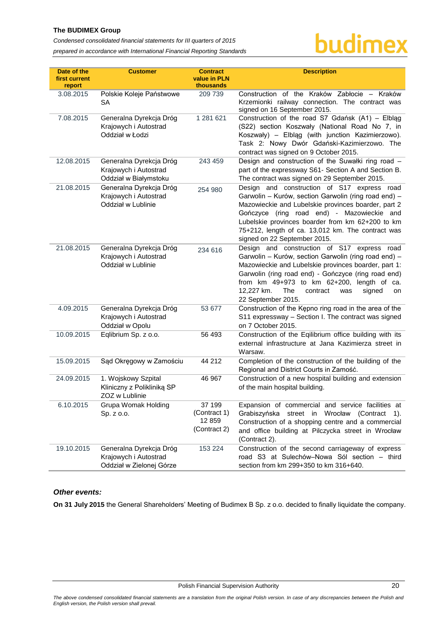# **The BUDIMEX Group**

*Condensed consolidated financial statements for III quarters of 2015* 

*prepared in accordance with International Financial Reporting Standards*

# budimex

| Date of the<br>first current<br>report | <b>Customer</b>                                                              | <b>Contract</b><br>value in PLN<br>thousands     | <b>Description</b>                                                                                                                                                                                                                                                                                                                                |
|----------------------------------------|------------------------------------------------------------------------------|--------------------------------------------------|---------------------------------------------------------------------------------------------------------------------------------------------------------------------------------------------------------------------------------------------------------------------------------------------------------------------------------------------------|
| 3.08.2015                              | Polskie Koleje Państwowe<br>SA                                               | 209 739                                          | Construction of the Kraków Zabłocie - Kraków<br>Krzemionki railway connection. The contract was<br>signed on 16 September 2015.                                                                                                                                                                                                                   |
| 7.08.2015                              | Generalna Dyrekcja Dróg<br>Krajowych i Autostrad<br>Oddział w Łodzi          | 1 281 621                                        | Construction of the road S7 Gdańsk (A1) - Elbląg<br>(S22) section Koszwały (National Road No 7, in<br>Koszwały) – Elbląg (with junction Kazimierzowo).<br>Task 2: Nowy Dwór Gdański-Kazimierzowo. The<br>contract was signed on 9 October 2015.                                                                                                   |
| 12.08.2015                             | Generalna Dyrekcja Dróg<br>Krajowych i Autostrad<br>Oddział w Białymstoku    | 243 459                                          | Design and construction of the Suwałki ring road -<br>part of the expressway S61- Section A and Section B.<br>The contract was signed on 29 September 2015.                                                                                                                                                                                       |
| 21.08.2015                             | Generalna Dyrekcja Dróg<br>Krajowych i Autostrad<br>Oddział w Lublinie       | 254 980                                          | Design and construction of S17 express road<br>Garwolin - Kurów, section Garwolin (ring road end) -<br>Mazowieckie and Lubelskie provinces boarder, part 2<br>Gończyce (ring road end) - Mazowieckie and<br>Lubelskie provinces boarder from km 62+200 to km<br>75+212, length of ca. 13,012 km. The contract was<br>signed on 22 September 2015. |
| 21.08.2015                             | Generalna Dyrekcja Dróg<br>Krajowych i Autostrad<br>Oddział w Lublinie       | 234 616                                          | Design and construction of S17 express road<br>Garwolin - Kurów, section Garwolin (ring road end) -<br>Mazowieckie and Lubelskie provinces boarder, part 1:<br>Garwolin (ring road end) - Gończyce (ring road end)<br>from km 49+973 to km 62+200, length of ca.<br>The<br>12,227 km.<br>contract<br>signed<br>was<br>on<br>22 September 2015.    |
| 4.09.2015                              | Generalna Dyrekcja Dróg<br>Krajowych i Autostrad<br>Oddział w Opolu          | 53 677                                           | Construction of the Kępno ring road in the area of the<br>S11 expressway - Section I. The contract was signed<br>on 7 October 2015.                                                                                                                                                                                                               |
| 10.09.2015                             | Eqlibrium Sp. z o.o.                                                         | 56 493                                           | Construction of the Eqilibrium office building with its<br>external infrastructure at Jana Kazimierza street in<br>Warsaw.                                                                                                                                                                                                                        |
| 15.09.2015                             | Sąd Okręgowy w Zamościu                                                      | 44 212                                           | Completion of the construction of the building of the<br>Regional and District Courts in Zamość.                                                                                                                                                                                                                                                  |
| 24.09.2015                             | 1. Wojskowy Szpital<br>Kliniczny z Polikliniką SP<br>ZOZ w Lublinie          | 46 967                                           | Construction of a new hospital building and extension<br>of the main hospital building.                                                                                                                                                                                                                                                           |
| 6.10.2015                              | Grupa Womak Holding<br>Sp. z o.o.                                            | 37 199<br>(Contract 1)<br>12 859<br>(Contract 2) | Expansion of commercial and service facilities at<br>Grabiszyńska<br>street in Wrocław<br>(Contract 1).<br>Construction of a shopping centre and a commercial<br>and office building at Pilczycka street in Wrocław<br>(Contract 2).                                                                                                              |
| 19.10.2015                             | Generalna Dyrekcja Dróg<br>Krajowych i Autostrad<br>Oddział w Zielonej Górze | 153 224                                          | Construction of the second carriageway of express<br>road S3 at Sulechów-Nowa Sól section - third<br>section from km 299+350 to km 316+640.                                                                                                                                                                                                       |

# *Other events:*

**On 31 July 2015** the General Shareholders' Meeting of Budimex B Sp. z o.o. decided to finally liquidate the company.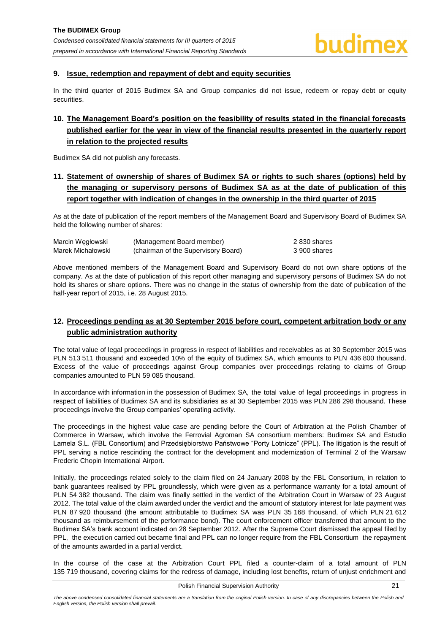#### <span id="page-21-0"></span>**9. Issue, redemption and repayment of debt and equity securities**

In the third quarter of 2015 Budimex SA and Group companies did not issue, redeem or repay debt or equity securities.

# <span id="page-21-1"></span>**10. The Management Board's position on the feasibility of results stated in the financial forecasts published earlier for the year in view of the financial results presented in the quarterly report in relation to the projected results**

Budimex SA did not publish any forecasts.

# <span id="page-21-2"></span>**11. Statement of ownership of shares of Budimex SA or rights to such shares (options) held by the managing or supervisory persons of Budimex SA as at the date of publication of this report together with indication of changes in the ownership in the third quarter of 2015**

As at the date of publication of the report members of the Management Board and Supervisory Board of Budimex SA held the following number of shares:

| Marcin Wegłowski  | (Management Board member)           | 2 830 shares |
|-------------------|-------------------------------------|--------------|
| Marek Michałowski | (chairman of the Supervisory Board) | 3 900 shares |

Above mentioned members of the Management Board and Supervisory Board do not own share options of the company. As at the date of publication of this report other managing and supervisory persons of Budimex SA do not hold its shares or share options. There was no change in the status of ownership from the date of publication of the half-year report of 2015, i.e. 28 August 2015.

# <span id="page-21-3"></span>**12. Proceedings pending as at 30 September 2015 before court, competent arbitration body or any public administration authority**

The total value of legal proceedings in progress in respect of liabilities and receivables as at 30 September 2015 was PLN 513 511 thousand and exceeded 10% of the equity of Budimex SA, which amounts to PLN 436 800 thousand. Excess of the value of proceedings against Group companies over proceedings relating to claims of Group companies amounted to PLN 59 085 thousand.

In accordance with information in the possession of Budimex SA, the total value of legal proceedings in progress in respect of liabilities of Budimex SA and its subsidiaries as at 30 September 2015 was PLN 286 298 thousand. These proceedings involve the Group companies' operating activity.

The proceedings in the highest value case are pending before the Court of Arbitration at the Polish Chamber of Commerce in Warsaw, which involve the Ferrovial Agroman SA consortium members: Budimex SA and Estudio Lamela S.L. (FBL Consortium) and Przedsiębiorstwo Państwowe "Porty Lotnicze" (PPL). The litigation is the result of PPL serving a notice rescinding the contract for the development and modernization of Terminal 2 of the Warsaw Frederic Chopin International Airport.

Initially, the proceedings related solely to the claim filed on 24 January 2008 by the FBL Consortium, in relation to bank guarantees realised by PPL groundlessly, which were given as a performance warranty for a total amount of PLN 54 382 thousand. The claim was finally settled in the verdict of the Arbitration Court in Warsaw of 23 August 2012. The total value of the claim awarded under the verdict and the amount of statutory interest for late payment was PLN 87 920 thousand (the amount attributable to Budimex SA was PLN 35 168 thousand, of which PLN 21 612 thousand as reimbursement of the performance bond). The court enforcement officer transferred that amount to the Budimex SA's bank account indicated on 28 September 2012. After the Supreme Court dismissed the appeal filed by PPL, the execution carried out became final and PPL can no longer require from the FBL Consortium the repayment of the amounts awarded in a partial verdict.

In the course of the case at the Arbitration Court PPL filed a counter-claim of a total amount of PLN 135 719 thousand, covering claims for the redress of damage, including lost benefits, return of unjust enrichment and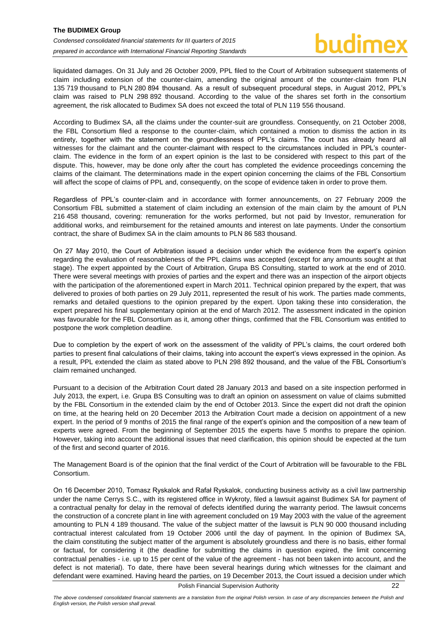liquidated damages. On 31 July and 26 October 2009, PPL filed to the Court of Arbitration subsequent statements of claim including extension of the counter-claim, amending the original amount of the counter-claim from PLN 135 719 thousand to PLN 280 894 thousand. As a result of subsequent procedural steps, in August 2012, PPL's claim was raised to PLN 298 892 thousand. According to the value of the shares set forth in the consortium agreement, the risk allocated to Budimex SA does not exceed the total of PLN 119 556 thousand.

According to Budimex SA, all the claims under the counter-suit are groundless. Consequently, on 21 October 2008, the FBL Consortium filed a response to the counter-claim, which contained a motion to dismiss the action in its entirety, together with the statement on the groundlessness of PPL's claims. The court has already heard all witnesses for the claimant and the counter-claimant with respect to the circumstances included in PPL's counterclaim. The evidence in the form of an expert opinion is the last to be considered with respect to this part of the dispute. This, however, may be done only after the court has completed the evidence proceedings concerning the claims of the claimant. The determinations made in the expert opinion concerning the claims of the FBL Consortium will affect the scope of claims of PPL and, consequently, on the scope of evidence taken in order to prove them.

Regardless of PPL's counter-claim and in accordance with former announcements, on 27 February 2009 the Consortium FBL submitted a statement of claim including an extension of the main claim by the amount of PLN 216 458 thousand, covering: remuneration for the works performed, but not paid by Investor, remuneration for additional works, and reimbursement for the retained amounts and interest on late payments. Under the consortium contract, the share of Budimex SA in the claim amounts to PLN 86 583 thousand.

On 27 May 2010, the Court of Arbitration issued a decision under which the evidence from the expert's opinion regarding the evaluation of reasonableness of the PPL claims was accepted (except for any amounts sought at that stage). The expert appointed by the Court of Arbitration, Grupa BS Consulting, started to work at the end of 2010. There were several meetings with proxies of parties and the expert and there was an inspection of the airport objects with the participation of the aforementioned expert in March 2011. Technical opinion prepared by the expert, that was delivered to proxies of both parties on 29 July 2011, represented the result of his work. The parties made comments, remarks and detailed questions to the opinion prepared by the expert. Upon taking these into consideration, the expert prepared his final supplementary opinion at the end of March 2012. The assessment indicated in the opinion was favourable for the FBL Consortium as it, among other things, confirmed that the FBL Consortium was entitled to postpone the work completion deadline.

Due to completion by the expert of work on the assessment of the validity of PPL's claims, the court ordered both parties to present final calculations of their claims, taking into account the expert's views expressed in the opinion. As a result, PPL extended the claim as stated above to PLN 298 892 thousand, and the value of the FBL Consortium's claim remained unchanged.

Pursuant to a decision of the Arbitration Court dated 28 January 2013 and based on a site inspection performed in July 2013, the expert, i.e. Grupa BS Consulting was to draft an opinion on assessment on value of claims submitted by the FBL Consortium in the extended claim by the end of October 2013. Since the expert did not draft the opinion on time, at the hearing held on 20 December 2013 the Arbitration Court made a decision on appointment of a new expert. In the period of 9 months of 2015 the final range of the expert's opinion and the composition of a new team of experts were agreed. From the beginning of September 2015 the experts have 5 months to prepare the opinion. However, taking into account the additional issues that need clarification, this opinion should be expected at the turn of the first and second quarter of 2016.

The Management Board is of the opinion that the final verdict of the Court of Arbitration will be favourable to the FBL Consortium.

On 16 December 2010, Tomasz Ryskalok and Rafał Ryskalok, conducting business activity as a civil law partnership under the name Cerrys S.C., with its registered office in Wykroty, filed a lawsuit against Budimex SA for payment of a contractual penalty for delay in the removal of defects identified during the warranty period. The lawsuit concerns the construction of a concrete plant in line with agreement concluded on 19 May 2003 with the value of the agreement amounting to PLN 4 189 thousand. The value of the subject matter of the lawsuit is PLN 90 000 thousand including contractual interest calculated from 19 October 2006 until the day of payment. In the opinion of Budimex SA, the claim constituting the subject matter of the argument is absolutely groundless and there is no basis, either formal or factual, for considering it (the deadline for submitting the claims in question expired, the limit concerning contractual penalties - i.e. up to 15 per cent of the value of the agreement - has not been taken into account, and the defect is not material). To date, there have been several hearings during which witnesses for the claimant and defendant were examined. Having heard the parties, on 19 December 2013, the Court issued a decision under which

Polish Financial Supervision Authority 22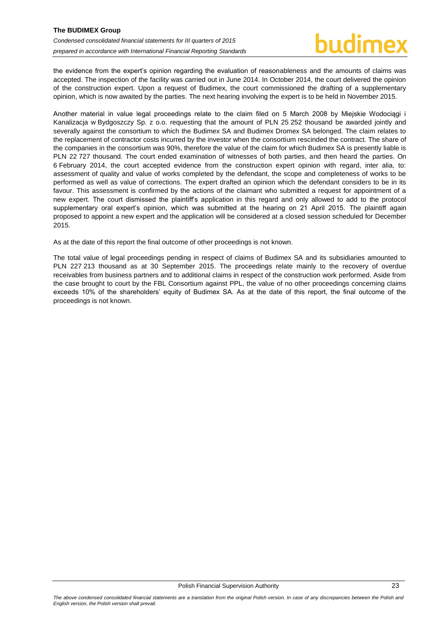the evidence from the expert's opinion regarding the evaluation of reasonableness and the amounts of claims was accepted. The inspection of the facility was carried out in June 2014. In October 2014, the court delivered the opinion of the construction expert. Upon a request of Budimex, the court commissioned the drafting of a supplementary opinion, which is now awaited by the parties. The next hearing involving the expert is to be held in November 2015.

Another material in value legal proceedings relate to the claim filed on 5 March 2008 by Miejskie Wodociągi i Kanalizacja w Bydgoszczy Sp. z o.o. requesting that the amount of PLN 25 252 thousand be awarded jointly and severally against the consortium to which the Budimex SA and Budimex Dromex SA belonged. The claim relates to the replacement of contractor costs incurred by the investor when the consortium rescinded the contract. The share of the companies in the consortium was 90%, therefore the value of the claim for which Budimex SA is presently liable is PLN 22 727 thousand. The court ended examination of witnesses of both parties, and then heard the parties. On 6 February 2014, the court accepted evidence from the construction expert opinion with regard, inter alia, to: assessment of quality and value of works completed by the defendant, the scope and completeness of works to be performed as well as value of corrections. The expert drafted an opinion which the defendant considers to be in its favour. This assessment is confirmed by the actions of the claimant who submitted a request for appointment of a new expert. The court dismissed the plaintiff's application in this regard and only allowed to add to the protocol supplementary oral expert's opinion, which was submitted at the hearing on 21 April 2015. The plaintiff again proposed to appoint a new expert and the application will be considered at a closed session scheduled for December 2015.

As at the date of this report the final outcome of other proceedings is not known.

The total value of legal proceedings pending in respect of claims of Budimex SA and its subsidiaries amounted to PLN 227 213 thousand as at 30 September 2015. The proceedings relate mainly to the recovery of overdue receivables from business partners and to additional claims in respect of the construction work performed. Aside from the case brought to court by the FBL Consortium against PPL, the value of no other proceedings concerning claims exceeds 10% of the shareholders' equity of Budimex SA. As at the date of this report, the final outcome of the proceedings is not known.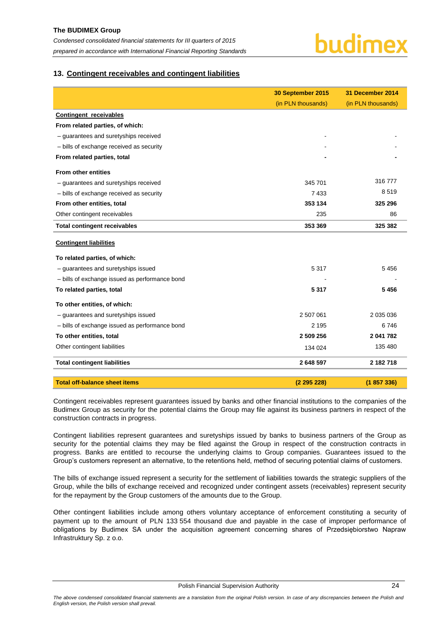### <span id="page-24-0"></span>**13. Contingent receivables and contingent liabilities**

|                                                | 30 September 2015  | 31 December 2014   |
|------------------------------------------------|--------------------|--------------------|
|                                                | (in PLN thousands) | (in PLN thousands) |
| Contingent receivables                         |                    |                    |
| From related parties, of which:                |                    |                    |
| - guarantees and suretyships received          |                    |                    |
| - bills of exchange received as security       |                    |                    |
| From related parties, total                    |                    |                    |
| <b>From other entities</b>                     |                    |                    |
| - guarantees and suretyships received          | 345 701            | 316 777            |
| - bills of exchange received as security       | 7433               | 8519               |
| From other entities, total                     | 353 134            | 325 296            |
| Other contingent receivables                   | 235                | 86                 |
| <b>Total contingent receivables</b>            | 353 369            | 325 382            |
| <b>Contingent liabilities</b>                  |                    |                    |
| To related parties, of which:                  |                    |                    |
| - guarantees and suretyships issued            | 5 3 1 7            | 5 4 5 6            |
| - bills of exchange issued as performance bond |                    |                    |
| To related parties, total                      | 5317               | 5456               |
| To other entities, of which:                   |                    |                    |
| - guarantees and suretyships issued            | 2 507 061          | 2 035 036          |
| - bills of exchange issued as performance bond | 2 1 9 5            | 6746               |
| To other entities, total                       | 2 509 256          | 2 041 782          |
| Other contingent liabilities                   | 134 024            | 135 480            |
| <b>Total contingent liabilities</b>            | 2 648 597          | 2 182 718          |
| <b>Total off-balance sheet items</b>           | (2 295 228)        | (1857336)          |

Contingent receivables represent guarantees issued by banks and other financial institutions to the companies of the Budimex Group as security for the potential claims the Group may file against its business partners in respect of the construction contracts in progress.

Contingent liabilities represent guarantees and suretyships issued by banks to business partners of the Group as security for the potential claims they may be filed against the Group in respect of the construction contracts in progress. Banks are entitled to recourse the underlying claims to Group companies. Guarantees issued to the Group's customers represent an alternative, to the retentions held, method of securing potential claims of customers.

The bills of exchange issued represent a security for the settlement of liabilities towards the strategic suppliers of the Group, while the bills of exchange received and recognized under contingent assets (receivables) represent security for the repayment by the Group customers of the amounts due to the Group.

Other contingent liabilities include among others voluntary acceptance of enforcement constituting a security of payment up to the amount of PLN 133 554 thousand due and payable in the case of improper performance of obligations by Budimex SA under the acquisition agreement concerning shares of Przedsiębiorstwo Napraw Infrastruktury Sp. z o.o.

The above condensed consolidated financial statements are a translation from the original Polish version. In case of any discrepancies between the Polish and *English version, the Polish version shall prevail.*